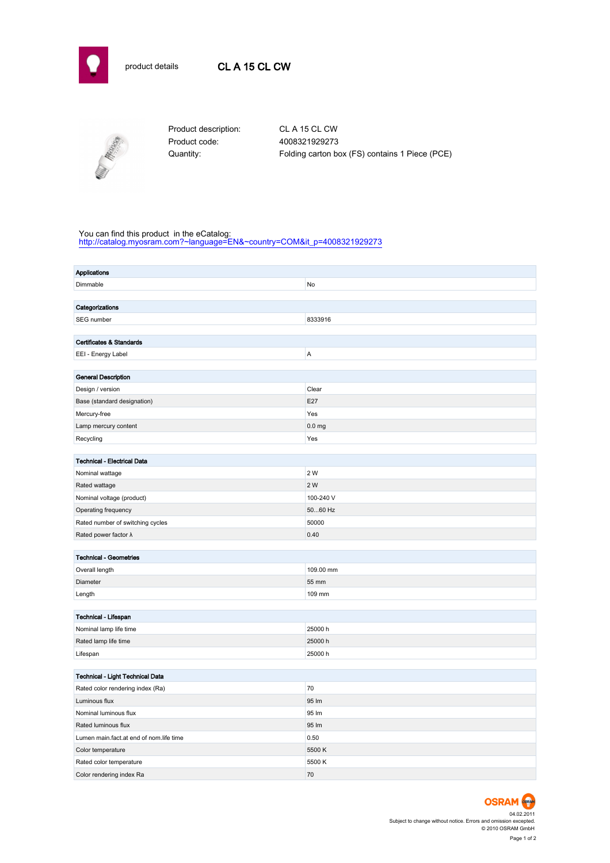



Product code: 4008321929273

Product description: CL A 15 CL CW Quantity: Folding carton box (FS) contains 1 Piece (PCE)

## You can find this product in the eCatalog:

[http://catalog.myosram.com?~language=EN&~country=COM&it\\_p=4008321929273](http://catalog.myosram.com?~language=EN&~country=COM&it_p=4008321929273)

| <b>Applications</b>                     |                   |  |  |  |  |  |
|-----------------------------------------|-------------------|--|--|--|--|--|
| Dimmable                                | No                |  |  |  |  |  |
|                                         |                   |  |  |  |  |  |
| Categorizations                         |                   |  |  |  |  |  |
| SEG number                              | 8333916           |  |  |  |  |  |
|                                         |                   |  |  |  |  |  |
| Certificates & Standards                |                   |  |  |  |  |  |
| EEI - Energy Label                      | Α                 |  |  |  |  |  |
|                                         |                   |  |  |  |  |  |
| <b>General Description</b>              | Clear             |  |  |  |  |  |
| Design / version                        | E27               |  |  |  |  |  |
| Base (standard designation)             | Yes               |  |  |  |  |  |
| Mercury-free<br>Lamp mercury content    | 0.0 <sub>mg</sub> |  |  |  |  |  |
|                                         | Yes               |  |  |  |  |  |
| Recycling                               |                   |  |  |  |  |  |
| <b>Technical - Electrical Data</b>      |                   |  |  |  |  |  |
| Nominal wattage                         | 2 W               |  |  |  |  |  |
| Rated wattage                           | 2 W               |  |  |  |  |  |
| Nominal voltage (product)               | 100-240 V         |  |  |  |  |  |
| Operating frequency                     | 5060 Hz           |  |  |  |  |  |
| Rated number of switching cycles        | 50000             |  |  |  |  |  |
| Rated power factor $\lambda$            | 0.40              |  |  |  |  |  |
|                                         |                   |  |  |  |  |  |
| <b>Technical - Geometries</b>           |                   |  |  |  |  |  |
| Overall length                          | 109.00 mm         |  |  |  |  |  |
| Diameter                                | 55 mm             |  |  |  |  |  |
| Length                                  | 109 mm            |  |  |  |  |  |
|                                         |                   |  |  |  |  |  |
| Technical - Lifespan                    |                   |  |  |  |  |  |
| Nominal lamp life time                  | 25000 h           |  |  |  |  |  |
| Rated lamp life time                    | 25000h            |  |  |  |  |  |
| Lifespan                                | 25000h            |  |  |  |  |  |
|                                         |                   |  |  |  |  |  |
| Technical - Light Technical Data        |                   |  |  |  |  |  |
| Rated color rendering index (Ra)        | 70                |  |  |  |  |  |
| Luminous flux                           | 95 lm             |  |  |  |  |  |
| Nominal luminous flux                   | 95 lm             |  |  |  |  |  |
| Rated luminous flux                     | 95 lm             |  |  |  |  |  |
| Lumen main.fact.at end of nom.life time | 0.50              |  |  |  |  |  |
| Color temperature                       | 5500 K            |  |  |  |  |  |
| Rated color temperature                 | 5500 K            |  |  |  |  |  |
| Color rendering index Ra                | 70                |  |  |  |  |  |

04.02.2011 Subject to change without notice. Errors and omission excepted. © 2010 OSRAM GmbH Page 1 of 2

**OSRAM**